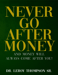# DR. LEROY THOMPSON SR.

# **AND MONEY WI**  $\rm LL$ ALWAYS COME AFTER YOU!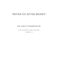## Never Go After Money

Dr. Leroy Thompson Sr.

EVER INCREASING WORD MINISTRIES

DARROW, LA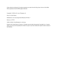Unless otherwise indicated, all scripture quotations are taken from the *King James Version* of the Bible. Direct quotations from the Bible appear italicized.

Copyright © 2018 by Dr. Leroy Thompson, Sr.

Never Go After Money.

Published by: Ever Increasing Word Ministries PO Box 7

Darrow, LA 70725

Author websites: leroythompson.tv, eiwm.org

Printed in the United States of America. All rights reserved under International Copyright Law. Contents and/or cover may not be reproduced in whole or in part in any form without the express written consent of the Publisher.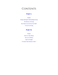## CONTENTS

## **[Part](#page-4-0) I.**

#### [Prelude](#page-5-0)

Seeing, Hearing & [Understanding](#page-6-0) Sowing The [Mystery](#page-10-0) of Sowing How Much Can God Trust You [With?](#page-12-0) A Grace for [Sowing](#page-16-0)

### **[Part](#page-20-0) II.**

[Prelude](#page-21-0) Never Go After [Money](#page-22-0) The Love of [Money](#page-24-0) Take No [Thought](#page-27-0) "A Greater Than [Solomon](#page-31-0) is Here."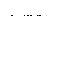## PART I

## <span id="page-4-0"></span>Seeing, Hearing & Understanding Sowing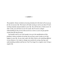

<span id="page-5-0"></span>*The prophetic rhema revelation of sowing introduced in this book will set you up for the rest of your life. This lesson will make sowing so real to you that it'll start working instantly and powerfully in your life. You will become a rhema sower. In other words, you will learn to sow live seeds. You'll receive a deeper understanding of why you do what you do as a sower, so you can get quicker results from this day forward.*

*I personally want to see God's people rise up in the manifestation of this prophetic rhema revelation of sowing, but you have a part to play to see that happen in your life. As you read, expect the Holy Ghost to do something different in your finances. Get ready to change your position by seeing, hearing, and understanding seedtime and harvest. You'll no longer be a regular sower living a regular life.*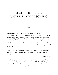# <span id="page-6-0"></span>SEEING, HEARING & UNDERSTANDING SOWING

Sowing comes by revelation. Think about that for a moment.

Before you sow, you need a revelation of the soil, and you need a live, rhema word from God on sowing. This will take you into another realm of financial matters. To fully work in God's kingdom principles, you must first know how to function with the seed and have a revelation that you can trust God.

 $\longrightarrow$ 

In Matthew 13, Jesus, the Master Seed Trainer, starts to teach us about the seed and soil and reveals how we can mess things up with our sowing. Let's look at verse 14:

*And in them is fulfilled the prophecy of Esaias, which saith, By hearing ye shall hear, and shall not understand; and seeing ye shall see, and shall not perceive:*

Matthew 13:14

Could it be, even though we have sown seeds for many years, we still need a better understanding of what we're doing from the Holy Ghost? The Holy Ghost is the one who can reveal *real* sowing to us, how to function with the seed and how to truly trust God. And don't you think He's the one who can reveal the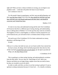right soil? When you have a rhema revelation on sowing, you can begin to sow prophetic seeds — seeds that will predict the future of your finances.

Let's continue in verse 15:

*For this people's heart is waxed gross, and their ears are dull of hearing, and their eyes they have closed; lest at any time they should see with their eyes and hear with their ears, and should understand with their heart, and should be converted, and I should heal them.*

Matthew 13:15

It's time we see, hear, and understand sowing and the seed. First Corinthians 2:9-10 proves that this is a different type of seeing, hearing, and understanding Jesus is talking about in Matthew 13. It's the type that only comes by revelation. The kingdom of God is a seed kingdom, so whatever God has prepared for you in the financial area, you will need to have a revelation about sowing to receive it.

We need to go to First Corinthians 2:9-10 to better understand our money, abundance, and blessings of God.

It reads:

*9 But as it is written, Eye hath not seen, nor ear heard, neither have entered into the heart of man, the things which God hath prepared for them that love him. 10 But God hath revealed them unto us by his Spirit: for the Spirit searcheth all things, yea, the deep things of God.*

1 Corinthians 2:9-10

This is speaking to us about seeing, hearing, and understanding by revelation from the Holy Spirit. You see, there are "deep things of God" about your finances and about you no longer being a regular sower that you need to know, but they are revealed to you *by the Spirit.*

In order to really catch this, you have to see that sowing is spiritual. It's just as spiritual as taking communion because it's from God — it's a benefit, revelation,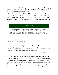insight, and gift from God. When you put it on the same spiritual scale as saying "whatever comes from God, I'm going to honor Him and do what's right with it," your sowing will be done spiritually.

When you understand that sowing is spiritual, you'll realize that it means you have to be led by the Spirit when you do it. Financially, you have to see what God is trying to show you. To do that, your eyes must be open in the realm of supernatural money and to the fact that there are no financial impossibilities in your life.

#### SAY THIS ALOUD:

*There are no financial impossibilities in my life because my eyes and ears are being opened and my heart and understanding are becoming clear by the Holy Ghost. From now on, financial matters will be different in my life because I'm going to have a rhema word* about sowing. I won't let anyone talk me out of it. I'm going to do what the Holy Ghost tells *me to do.*

In Matthew 13:16-17, Jesus says,

*16 But blessed are your eyes, for they see: and your ears, for they hear. 17 For verily I say unto you, That many prophets and righteous men have desired to see those things which ye see, and have not seen them; and to hear those things which ye hear, and have not heard them.*

Matthew 13: 16-17

Seeing eyes and hearing ears produce an understanding heart. You need to know this because you'll see people in the Bible who didn't understand sowing. For instance, Jesus tells a parable in the Gospels about a rich young ruler who didn't understand the grace of sowing and missed out on a hundred-fold return. The disciples were even perturbed when a sower showed up in their religious circle and sowed like she was out of her mind. She poured her expensive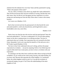ointment from the alabaster box over Jesus' head, and they questioned it saying, "What is the purpose of this waste?"

You see, when a revelatory sower shows up, people don't quite understand it. They fail the test because they lack the revelation of sowing, and then they miss their return. Don't let this be you! Recognize just how important it is to have seeing eyes and hearing ears from the Holy Ghost when it comes to this money business.

Let's move on to Matthew 13:23.

*But he that received seed into the good ground is he that heareth the word, and understandeth it; which also beareth fruit, and bringeth forth, some a hundredfold, some sixty, some thirty.*

Matthew 13:23

Notice Jesus says that the man who receives seed into good ground "hears the word and understands it." You have to understand it! It's not just about putting money on the altar or putting money in an offering envelope. You have to *understand* what you're doing. Your expectation has to be arrested by the Holy Ghost. Remember, God is not a man that He should lie. If He told you to do it, He'll make it good (Numbers 23:19).

You have to hear God, understand what you're doing, and have the proper expectation by revelation — not just by repeating *I believe God*. Believing God is good within itself, but at some point, you have to have a revelation with your expectation.

It's amazing to me that when Jesus would train others about sowing (as He did in Matthew 13), he would use the words *seeing, hearing,* and *understanding*. Do you know why? Because that represents the whole kingdom. As I mentioned before, the whole kingdom works by seed. So, if you get the revelation of sowing and reaping, you got it! You'll have the understanding of the entire kingdom of God.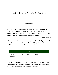# <span id="page-10-0"></span>THE MYSTERY OF SOWING



*He answered and said unto them, Because it is given unto you to know the mysteries of the kingdom of heaven, but to them it is not given. [12] For whosoever hath, to him shall be given, and he shall have more abundance: but whosoever hath not, from him shall be taken away even that he hath.* Matthew 13:11-12

Sowing is a manifestation mystery that opens up the whole kingdom of God, and it's "given unto you" to know it. When the Holy Spirit reveals it to you, you'll know where to sow, how to sow, and how often to sow.

#### SAY THIS ALOUD:

*Holy Spirit, help me to see. Holy Spirit, help me to hear. Holy Spirit, help me to understand.*

As children of God, each of us should be functioning in kingdom finances. There are no levels or shortages in kingdom finances, and once you get into the mystery of it, you will never be able to think broke again.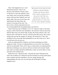That's what happened to me. I can't think broke anymore. And it's not because of the amount of money I have; it's because I've seen the authority I have over money. Once you get this revelation, money will never have authority over you again, either. Once you can see, hear, and understand by the Holy Ghost, the mystery of sowing will be yours. You have to have a divine expectation that you

"We have to get rid of the stroke in being broke. There are people who can't move financially because they're in a financial stroke. The Lord wants to take you out of that broke stroke."

are sowing prophetically and prophesying to your harvest.

Notice what Jesus says in Matthew 13:12: *For whosoever hath, to him shall be given, and he shall have more abundance: but whosoever hath not, from him shall be taken away even that he hath.* In short, this means whoever "has" will be given more, and whoever "has not" will have more taken away. This is Jesus trying to get you into the category of "having." He wants you to "have" the revelation so He can provide more abundantly for you. He wants you to "have" it so He knows He can trust you.

Until you understand this revelation, you'll just be spinning your wheel, getting no results. You have to understand that you can see how your finances will turn out spiritually. Then, you'll come to a point where you understand that debt does not belong to you, and you will have no desire to be normal. People who walk in revelation should live differently, so they can invite others to come and walk in the revelation also.

When Jesus says "whosoever hath," what does He mean? Whosoever has what? *The revelation of it.* Whosoever has the revelation of sowing will be given more revelation and more abundance. You see, seeing, hearing, and understanding is the only way you will enjoy the full benefits of being a kingdom sower.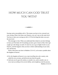# <span id="page-12-0"></span>HOW MUCH CAN GOD TRUST YOU WITH?

Sowing carries stewardship with it. This means you have to be a steward over your sowing. When God raises your finances, you can't stay on the same level. You have to take your sowing up with it. It'll be the thing that takes you up to the next level.

 $\longrightarrow$ 

This message is clear. When you understand that whatever you have belongs to God, you'll be better off. Everything you have, give it back to Him. Don't get caught up in the things on earth. It's time for you to go to higher levels in your finances, and this happens when you have a better understanding of your seed, soil, and harvest.

Notice what Jesus says here in Matthew 25:14-15, as he starts a parable about the kingdom of heaven.

*14 For the kingdom of heaven is as a man travelling into a far country, who called his own servants, and delivered unto them his goods.*

*15 And unto one he gave five talents, to another two, and to another one; to every man according to his several ability; and straightway took his journey.* Matthew 25:14-15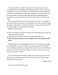The man gave them a number of talents, which are large sums of money, "according to their several ability." One had five talents, one had two, and one only had one. Now, I ask *you*: What is your ability? What number of talents do you think you would have here? How much training have you done? How well can you see? How well can you hear? How much do you understand about sowing? How much do you trust God's system? How much can God trust you with?

The man who had one talent wasn't given more for a reason. "According to their several ability" meant that it was according to how they were able to handle the amount. The further we read into the parable we see that the person who had one talent couldn't even deal with the one he had.

Matthew 25:16-18 reads:

- *16 Then he that had received the five talents went and traded with the same, and made them other five talents.*
- *17 And likewise he that had received two, he also gained other two.*
- *18 But he that had received one went and digged in the earth, and hid his lord's money.*

While the others were multiplying their money, the man with one was hiding his in the ground. It's obvious he didn't know what to do with what he had. It was in his ignorance that he was only given the one talent to start with. When we read down to verse 24 of this same chapter we see how he starts to lie on God because of his results. It reads:

*Then he which had received the one talent came and said, Lord, I knew thee that thou art an hard man, reaping where thou hast not sown, and gathering where thou hast not strawed:*

Matthew 25:24

In verse 25, he finally tells the truth.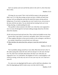*And I was afraid, and went and hid thy talent in the earth: lo, there thou hast that is thine.*

Matthew 25:25

All along, he was scared. That's why he hid his money in the ground and didn't sow it. It's like that savings account you have; it holds you back from sowing. God was telling this man that He needs His money *moving* and not hiding away. If you have a savings that you won't touch to sow, you are just as the man with the one talent. You are afraid and not trusting God; you're not seeing, hearing, or understanding the seed.

This parable is about someone who didn't sow when they were supposed to sow. In verses 26 through 28, God starts talking strongly about how He feels about this situation.

*26 His lord answered and said unto him, Thou wicked and slothful servant, thou knewest that I reap where I sowed not, and gather where I have not strawed: 27 Thou oughtest therefore to have put my money to the exchangers, and then at my coming I should have received mine own with usury.*

*28 Take therefore the talent from him, and give it unto him which hath ten talents.*

Matthew 25:26-28

You're probably asking yourself (as I once did), *What kind of God is this? Is He really saying take it from the man with one and give it to the man who had ten?* Yes, that's how God feels about those who don't sow when they are supposed to sow. As I said before, the kingdom of God is a seed kingdom. It all works by sowing, so the only way out is to sow your way out. Let's read on to verse 29.

*For unto every one that hath shall be given, and he shall have abundance: but from him that hath not shall be taken away even that which he hath.*

Matthew 25:29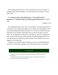We're talking about those who "have" and those who "have not" again. It's saying the same thing as Matthew 13:12 that read in the last section. Let's go back to that.

*For whosoever hath, to him shall be given, and he shall have more abundance: but whosoever hath not, from him shall be taken away even that he hath.*

Matthew 13:12

He's talking about those who "have" the revelation of sowing and the seed. If you think it's not working, the problem is not with the seed; the problem is with your understanding of the rhema revelation of it. You have no business having hard times in your finances. Hard times have to come to an end in your life today. You're supposed to be blessed in your finances, and you're supposed to wear an easy financial yoke. Seeing, hearing, and understanding the seed, the soil, and the harvest will bring you into that type of easy financial yoke you're supposed to be living with.

Continue to ask the Holy Spirit to help you to see, hear, and understand the seed. Once you have this revelation, God will be able to trust you with more.

#### SAY THIS ALOUD:

*Father, give me a better revelation of sowing and reaping and seedtime and harvest. I want to know.*

*I claim now that all of my hard conditions in finances are destroyed! From this day forward, I will sow and receive by revelation.*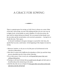# <span id="page-16-0"></span>A GRACE FOR SOWING



There is a genuine grace for sowing, as God's favor is always on a sower. Most of the time, with sowing, you start with nothing and then you sow your way up to higher levels. In the parable we read in Matthew 25 in the last section, the man with five talents had proven himself. We can assume he had already sown the one talent and the second talent, so he received a promotion — having five to handle this time. That's grace.

In Second Corinthians 8, the grace message is so powerful. Like Jesus, the apostle Paul was also a seed trainer. At the beginning of this chapter, he starts by saying:

- 1 *Moreover, brethren, we do you to wit of the grace of God bestowed on the churches of Macedonia;*
- 2 *How that in a great trial of affliction the abundance of their joy and their deep poverty abounded unto the riches of their liberality.*
- 3 *For to their power, I bear record, yea, and beyond their power they were willing of themselves;*
- 4 *Praying us with much intreaty that we would receive the gift, and take upon us the fellowship of the ministering to the saints.*
- 5 *And this they did, not as we hoped, but first gave their own selves to the Lord, and unto us by the will of God.*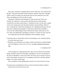First, take a moment to recognize that in verse 4 Paul says, "We would receive the gift." They gave their gifts to Paul and those with him. This hasn't changed when it comes to sowing; you will always have to have someone to sow into. This is something you won't be able to avoid.

Oftentimes, Christians read Galatians 6:7 (*Be not deceived; God is not mocked: for whatsoever a man soweth, that shall he also reap*), but they overlook the verse that comes before it. Galatians 6:6 says, *Let him that is taught in the word communicate unto him that teacheth in all good things*. When he says "communicate" unto those teaching you, he's talking about giving. You see, most don't understand the prophet's reward Jesus talked about in Matthew 10:41, but the understanding of that revelation has money stacked up in it for you. Once you understand it and begin to activate it, it'll pour out over your life.

Let's jump back into Second Corinthians 8. Paul continues, saying:

- *6 Insomuch that we desired Titus, that as he had begun, so he would also finish in you the same grace also.*
- *7 Therefore, as ye abound in every thing, in faith, and utterance, and knowledge, and in all diligence, and in your love to us, see that ye abound in this grace also.*

2 Corinthians 8:6-7

God is asking you a tough question here. *How can you abound in all of these things, like faith, utterance, knowledge, and diligence, but you can't abound in the grace of abundance I want you to have?* He wants you to see that it's just as easy to have plenty of money as it is to prophesy and work in all other spiritual matters. It's a grace, all the same.

Now, what grace is Paul talking about exactly? Let's look at the next verses:

*8 I speak not by commandment, but by occasion of the forwardness of others, and to prove the sincerity of your love.*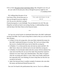*9 For ye know the grace of our Lord Jesus Christ, that, though he was rich, yet for your sakes he became poor, that ye through his poverty might be rich.* 2 Corinthians 8:8-9

He's talking about the grace of our Lord Jesus Christ. He *became poor so that you through his poverty might be rich*. Do you see what this is saying?

YOU ARE DESTINED TO BE rich!

Financial prosperity is your birthright. You are destined to be rich! The only thing that can hold you back is not seeing, hearing, or understanding sowing with the help of the Holy Ghost on this financial matter.

\*\*\*

Let's go over several stories we mentioned about those who didn't understand sowing in the Bible. You'll want to keep them in mind so that you can learn from their mistakes.

- In Mark 10, the rich young ruler, who most likely inherited the money he had, didn't understand the grace of sowing. The Lord was trying to help him receive a hundred-fold return, but he failed the sowing test.
- In Matthew 13, we discussed the man who had one talent and hid it. He didn't know what to do with the seed so he also failed the sowing test.
- In Matthew 26, the disciples failed when the woman with the alabaster box came and sowed like she was out of her mind. She poured her expensive ointment over Jesus' head, and it disturbed them. They didn't recognize what she was doing and called it a waste. When Jesus finally understood how ignorantly they were thinking, he tried to help them see that she was sowing for his burial.
- Judas who betrayed Jesus is another example of someone who went after the money and destroyed himself because of it.

You won't be found in the predicaments they were in. You're in a different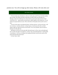position now. You will no longer go after money. Money will come after you!

#### SAY THIS ALOUD:

*I'll never be the same. My finances will never be the same, and I'll never be broke another day in my life. The money just keeps on flowing in my life to bless me and make me a* blessing. I want to be a blessing to my church and to my man and woman of God. It'll all *come back to me — good measure, pressed down, shaken together, and running over. I'm not* going to let anyone talk me out of it. This is the divine will and plan of God, and I receive it *now.*

I'll never be the same in my financial living. I will have the best. I will wear the best. I will live in the best. I will drive the best. I will give glory to God because He did it, and He's doing it right now! My life will never be the same. I'm in a new position, and a new flow is *flowing in my life right now.*

*My finances will never be the same after this day because I will see, hear, and understand* how to walk in the Spirit in my finances. I will see, hear, and understand how to walk by faith in my finances. I will sow according to the leading of the Spirit, and all of my seeds will be *good seeds from this day forward.*

*In Jesus' name. Amen.*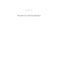## PART II

## <span id="page-20-0"></span>Never Go After Money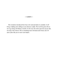

<span id="page-21-0"></span>*The revelation introduced here has to be read and taken in carefully. It will bring a shifting and a lifting in your finances swiftly. The Lord has given this to me to go along with Money Cometh. It will cover the entire spectrum of your life, not only in the church. This is something most Christians don't know, but it'll start a flow like you've never seen before.*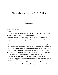## <span id="page-22-0"></span>NEVER GO AFTER MONEY



Never go after money.

Ever.

Not even on your job should you work just for the money. When you focus on working for money, you're making yourself small.

This may be hard for some people to swallow, but it's the truth. Stop the prostitution in your life. In other words, stop the enemy from raping you. Never go after money. Always go after God and serving people, and the money will come after you.

There are ministers who don't even know this revelation. They try to get more people in their seats for more money, but I'm telling you now: Don't go after the money. Go after the people. Make sure the people are blessed. Make sure you've prayed and prepared yourself for the people, and don't worry about the money. Again, when you only go after God and serving people, the money will go after you. This holds true for any circumstance or platform in your life.

You can either be a dreamer or a schemer. You have to know the difference between the two. Joseph was a dreamer, but his brothers were schemers (Genesis 37). By the end of that story, who came out on top? If you've read it, you'll know that Joseph came out on top. Schemers will never rule dreamers, but dreamers will always rule schemers. If you're really a dreamer, you won't let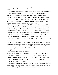money rule you. If you go after money, it will remain small because you can't be trusted.

Not going after money is one of my secrets. I never have to pray about money or about keeping a budget. I just focus on the people. I'm a dreamer, not a schemer. Thinking about the money and counting every little bit is small thinking. I just depend on God, and because of that, He always comes through.

If you go after money, money will become your master. So, the question is: who is your source? Your job nor man is your source, so get that off of your mind. Stop serving money, and make money serve God.

You can try to deny or ignore the truth of this message, but you can't. What would you do about Matthew 6:33? Doesn't it clearly substantiate the message in this book? It says, *Seek ye first the kingdom of God, and his righteousness; and all these things shall be added unto you.* What about Isaiah 1:19? It says, *If ye be willing and obedient, ye shall eat the good of the land*. What about Job 36:11? It says, *If they obey and serve him, they shall spend their days in prosperity, and their years in pleasures*. What about John 15:7? It says, *If ye abide in me, and my words abide in you, ye shall ask what ye will, and it shall be done unto you*.

Do you see what God's saying in each of those scriptures? He's talking about not going after money and things. He's saying if you don't go after it, He'll see to it that you have it. All you have to do is follow His steps and order. It's clear; but, somehow, for years, we've missed this revelation, especially when it comes to our jobs.

The majority of people go to work just for their checks, which is why they don't do their jobs sufficiently and why their promotions haven't come through yet. When you're only working for a check, you're going to stay broke. Focus on

Get the money off of your mind and get serving God and people on your mind.

doing your work diligently. Get the money off of your mind and get serving God and people *on* your mind. When you do that, money will no longer have control over your life, and you'll never have to go after money again.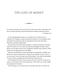## <span id="page-24-0"></span>THE LOVE OF MONEY

*For the love of money is the root of all evil: which while some coveted after, they have erred from the faith, and pierced themselves through with many sorrows.* 1 Timothy 6:10

 $\longrightarrow$ 

If you keep going after money, you're going to love it and end up in 1 Timothy 6:10. Somehow, money has taken God's place in a lot of people's lives, and instead of trusting God, they're trusting their checks, their jobs, their businesses, and their strategy books.

Do you think you'll find a better strategy in a business book than in the Holy Ghost? Of course not. If you have too many book strategies, the Holy Ghost's library won't be able to talk to you. The Bible is the Holy Ghost's library. All the answers for the supernatural are in the Bible.

Many have paired Jesus off with psychological and optimistic strategies, and they haven't given the Holy Ghost a chance to say, *Stumble over here. I got it. I can set you up. I can call money out of a fish's mouth. I can make bread multiply.* It's time to let the strategies end and let the Holy Ghost take over.

First Timothy 6:10 says *the love of money* is the root of all evil. It doesn't say money is evil. What's evil is not having money. That's when you can get caught up in going after it the most.

The verse goes on to say *while some coveted after, they have erred from the*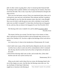*faith*. In other words, by going after it, they've messed up their financial faith. By trusting in their academic abilities over trusting God, for instance, they have erred from the faith. This is why it says *they've pierced themselves through with many sorrows*.

Have you ever had money sorrows? Have you experienced times when you're in the grocery store and your card declines? Has someone said they're going to come through for you, but when the moment comes, they don't come through? Have you ever had to walk the grocery store with a calculator in your hand to make sure you didn't overspend? I've been there, but those days are long gone for me, and now, they are about to be long gone for you! See Proverbs 10:22:

*The blessing of the Lord, it maketh rich, and he addeth no sorrow with it.* Proverbs 10:22

This means God has you covered. You don't have to love money or chase after it and end up *erred from the faith* or *pierced through many sorrows* as it's said in First Timothy 6:10. You have a right to the blessings of the Lord with *no* sorrow.

Let's look at how it's done in the introduction of Deuteronomy 28. It reads:

- 1 *And it shall come to pass, if thou shalt hearken diligently unto the voice of the Lord thy God, to observe and to do all his commandments which I command thee this day, that the Lord thy God will set thee on high above all nations of the earth:*
- 2 *And all these blessings shall come on thee, and overtake thee, if thou shalt hearken unto the voice of the Lord thy God.*

Deuteronomy 28:1-2

When you do what's said in those first two verses, the blessings listed in the rest of this chapter are yours. Just like that, the blessing comes after you. You

see, the Body of Christ hasn't fully been taught how to function in the blessing of

#### YOU WON'T HAVE TO LISTEN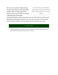the Lord, or in wealth, without having money control them or make them highminded. They've totally missed this lesson, but you won't! When you finally understand that the blessings

to the voice of money anymore, because money will now listen to your voice.

automatically follow when you go after God, your life will never be the same. Blessings on blessings will stack up on you. You won't have to listen to the voice of money anymore, because money will now listen to *your* voice.

#### SAY THIS ALOUD:

*Sudden, immediate, and straightway money is sitting on my life today. All of sudden, I can be out of debt! All of a sudden, all of my needs can be met!*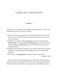# <span id="page-27-0"></span>TAKE NO THOUGHT



In Matthew 6, Jesus repeats "take no thought" multiple times for a reason. He's leading us somewhere. Let's start at verse 24.

- *24 No man can serve two masters: for either he will hate the one, and love the other; or else he will hold to the one, and despise the other. Ye cannot serve God and mammon.*
- *25 Therefore I say unto you, Take no thought for your life, what ye shall eat (that's money), or what ye shall drink (that's money); nor yet for your body, what ye shall put on (that's money). Is not the life more than meat, and the body than raiment?*
- *26 Behold the fowls of the air: for they sow not, neither do they reap, nor gather into barns; yet your heavenly Father feedeth them. Are ye not much better than they?*
- *27 Which of you by taking thought can add one cubit unto his stature?* Matthew 6:24-27

How much have you taken thought for your life, finances, and the everyday things you need? We have to get rid of this. We have to stop being conformed to this world but be transformed by the renewing of our minds (Romans 12:2), so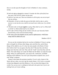that we can take upon the thoughts of God. In Matthew 6, Jesus continues, saying:

- 28 *And why take ye thought for raiment? Consider the lilies of the field, how they grow; they toil not, neither do they spin:*
- 29 *And yet I say unto you, That even Solomon in all his glory was not arrayed like one of these.*
- 30 *Wherefore, if God so clothe the grass of the field, which to day is, and to morrow is cast into the oven, shall he not much more clothe you, O ye of little faith?*
- 31 *Therefore take no thought (again!), saying, What shall we eat? or, What shall we drink? or, Wherewithal shall we be clothed?*
- 32 *(For after all these things do the Gentiles seek:) for your heavenly Father knoweth that ye have need of all these things.*
- 33 *But seek ye first the kingdom of God, and his righteousness*; and*all these things shall be added unto you.*

Matthew 6:28-33

Do you see the revelation laid out for you here in Matthew 6? Jesus is saying *take no thought* for all those other things, only seek Him first, and all those things will be added to you. It's clear, but most people in the Body of Christ don't believe that! Can you guess why they don't? Because they seek those things more than they seek God. They seek the "made" more than they seek the Maker. The made things can't make the Maker but the Maker can make the made things. When you understand this, your prayer life, confessions, and Bible studying will be different. You won't just read promise scriptures now; you'll read "doing" scriptures.

Doing is what makes the promises manifest. If you're only a hearer of the Word, and not a doer, you won't get the results (James 1:22). God is a rewarder of them that diligently seek *Him* (Hebrews 11:6), not *them* (the things of this world). You can say you're walking by faith and in the spirit, but if you're not seeking God, you're just walking.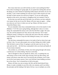How many times have you told God that you don't want anything but Him? Even when everything isn't going right, do you spend time seeking Him and not the things you want? Instead of requesting earthly desires and needs, do you ever ask Him, "Lord, is there anything you want me to do? Is there anyone you want me help? Is there anyone you want me to forgive?" If you are really paying attention to this secret, your money is changing at this very moment. It has to.

By the time you reach the end of this book, you will know you have authority over money for the rest of your life. Money will never rape you again — telling you what you can't have or where you can't go. Money will obey you as it obeyed the Master, Jesus.

Do you remember when Jesus commanded money to be in the mouth of a fish (Matthew 17:27)? He wasn't going fishing, although that's what we've been doing. He commanded the money to be in the first fish Peter caught. The same way, the Lord has prepared *your* fish, and you only need one. You've been fishing for money; working two or three jobs and, most of the time, still don't catch anything. I'm here to stop all of this fishing for money. Let's catch the right fish.

The fish Jesus commanded the money to be inside of had no choice but to get on Peter's line. I'm sure other people were out there fishing, but it didn't matter. This fish *had* to come to Peter. It's going to work the same way for you. You only need one fish — the fish Jesus commanded to bite your hook and handle all of your money situations.

The acrobats we, as the Body of Christ, have been going through with money is all because we've been fishing. That has to end today.

Take no thought for what you should eat, drink, wear, or anything else you need money to have in this world. Stop worrying. Never go after money, and money will always come after you! If you tap into this revelation, you'll come out of all of your money sorrows. Now, every bill that's been holding you down has to bow down. You've learned how to fish in the spirit.

Money will obey you, just as money, the fish, and the bread obeyed Jesus. Money is ready to multiply in your life at this very moment, and if you follow the principles and the leading of the Spirit, He has a way to multiply you at this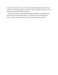moment. You will move into a new financial position immediately. The enemy will try to use money ignorance to rape you, make you hustle, or make you try to find your way, but don't fall for his tricks.

You can now operate in the prophetic rhema revelation on sowing from this day forward. Your seed will be alive. You will hear God's voice about your money, activate what He tells you to do, and money will come after you.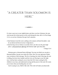# <span id="page-31-0"></span>"A GREATER THAN SOLOMON IS HERE."

It's time to put you in your rightful place and show you how Solomon, the man who became the richest person in the world during his time, did it. In First Kings 3:3-4, we see how Solomon first got God's attention.

 $\longrightarrow$ 

- *3 And Solomon loved the Lord, walking in the statutes of David his father: only he sacrificed and burnt incense in high places.*
- *4 And the king went to Gibeon to sacrifice there; for that was the great high place: a thousand burnt offerings did Solomon offer upon that altar.*

1 Kings 3:3-4

Solomon gave *a thousand* burnt offerings! You may not think you can give a thousand dollars, but get your mind off of that. Don't let your ignorance hinder your revelation of this message. The fire is burning, the wind is blowing, the rain is falling, the doves have landed, and the rivers are flowing in your life right now. God has been waiting for you to hear this! He's been waiting for His children to see, hear, and understand sowing and the power of the seed. He wants you to know that your hustling days are over!

God is saying to you, *Walk in My truth. This truth will make you financially*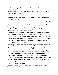*free. The blessing of the Lord maketh rich. Don't go after the riches; the riches will come after you.*

After Solomon sowed a thousand burnt offerings, we see what God said to him in a dream in the next verse:

#### *5 In Gibeon the Lord appeared to Solomon in a dream by night: and God said, Ask what I shall give thee.*

1 Kings 3:5

God said, "Ask." Let's stop there. Don't ask for the wrong thing. Let the Holy Ghost train you to ask for *the right* things. Why say, "Lord, I want a two-story house? Or, Lord, I want a Porsche with a ragtop?" What is that? It's nothing. Asking for the wrong things will keep you broke.

Remember to take no thought for those things and not to worry about how all of that is going to happen. I'm telling you now why some things have *not* been happening for you. It's because you've been going after it. Many Christians are doing this, but all God wants His children to do is serve Him. Then, He'll pour it out on you. The problem is that we've parked too much asking for things mainly, asking for the wrong things.

The system has taught us to go after money, but as I said before, you have to know the difference between being a dreamer and being a schemer.

Never put money first, and never do anything just for the money. Do you remember the story in the Bible about Achan, who got him and his family destroyed because he went after money (Joshua 7)? Do you remember Gehazi, who didn't follow the prophet's order and destroyed him and his family with leprosy because of money (2 Kings 5)? Don't forget about Judas who walked with Jesus but betrayed him for money and hung himself because of it at the end. Those stories are examples of where you *don't* want to end up. Stay in line with the things of God.

Again, don't go after the money!

Let's go further into the story of Solomon. See what he asked for and how God responded to him in the next verses, here: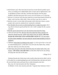- 6 *And Solomon said, Thou hast shewed unto thy servant David my father great mercy, according as he walked before thee in truth, and in righteousness, and in uprightness of heart with thee; and thou hast kept for him this great kindness, that thou hast given him a son to sit on his throne, as it is this day.*
- 7 *And now, O Lord my God, thou hast made thy servant king instead of David my father: and I am but a little child: I know not how to go out or come in.*
- 8 *And thy servant is in the midst of thy people which thou hast chosen, a great people, that cannot be numbered nor counted for multitude.*
- *9 Give therefore thy servant an understanding heart to judge thy people, that I may discern between good and bad: for who is able to judge this thy so great a people?*
- 10*And the speech pleased the Lord, that Solomon had asked this thing.*
- 11 *And God said unto him, Because thou hast asked this thing, and hast not asked for thyself long life; neither hast asked riches for thyself. (This man became the richest man in the world but didn't ask for it!), nor hast asked the life of thine enemies; but hast asked for thyself understanding to discern judgment;*
- *1 2 Behold, I have done according to thy words: lo, I have given thee a wise and an understanding heart; so that there was none like thee before thee, neither after thee shall any arise like unto thee.*
- 13 *And I have also given thee that which thou hast not asked, both riches, and honour: (The money came after him!) so that there shall not be any among the kings like unto thee all thy days.*

1 Kings 3:6-13

Solomon became the richest man in the world at that time but he didn't ask for it. He asked for an understanding heart and God blessed him with that and more! He received both riches and honor like no other during his time here.

But, now, let's fast forward to the New Testament.

In Matthew 12:42, Jesus stood up and said, "A greater than Solomon is here."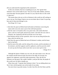#### (*Do you understand the magnitude of this statement?*)

At this very moment, that text is standing up in you. The "greater than Solomon" lives on the inside of you! "You are of God, little children, and have overcome them: because greater is he that is in you, than he that is in the world  $(1$  John 4:4)."

This means those who are as rich as Solomon in this world are still waiting on *you* to rise up. First Kings 10 gives you an even better idea of what I'm proving here and of what truly belongs to you.

First Kings 10:1-5 says:

- 1 *And when the queen of Sheba heard of the fame of Solomon concerning the name of the Lord, she came to prove him with hard questions.*
- 2 *And she came to Jerusalem with a very great train, with camels that bare spices, and very much gold, and precious stones: and when she was come to Solomon, she communed with him of all that was in her heart.*
- 3 *And Solomon told her all her questions: there was not any thing hid from the king, which he told her not.*
- 4 *And when the queen of Sheba had seen all Solomon's wisdom, and the house that he had built,*
- 5 *And the meat of his table, and the sitting of his servants, and the attendance of his ministers, and their apparel, and his cupbearers, and his ascent by which he went up unto the house of the Lord; there was no more spirit in her.*

1 Kings 10:1-5

Although the Queen of Sheba was very rich, she came ready to sow. She saw his wisdom *and* the house he built, the meat on his table, his servants, his apparel, his cupbearers, and all his other possessions. Then, she fell out. Solomon was *that* great. She couldn't handle it, and just like that, the people of this world won't be able to handle you.

When Jesus said, "A greater than Solomon is here," he was talking about you. *You're* here with the greater one on the inside of you today.

You never have to go after money. Go after God, His will, His Word, and His